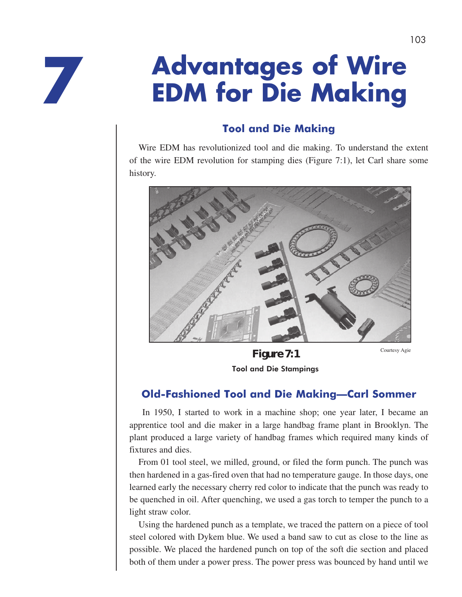**7**

# **Advantages of Wire EDM for Die Making**

#### **Tool and Die Making**

Wire EDM has revolutionized tool and die making. To understand the extent of the wire EDM revolution for stamping dies (Figure 7:1), let Carl share some history.



**Figure 7:1** Courtesy Agie Tool and Die Stampings

#### **Old-Fashioned Tool and Die Making—Carl Sommer**

 In 1950, I started to work in a machine shop; one year later, I became an apprentice tool and die maker in a large handbag frame plant in Brooklyn. The plant produced a large variety of handbag frames which required many kinds of fixtures and dies.

From 01 tool steel, we milled, ground, or filed the form punch. The punch was then hardened in a gas-fired oven that had no temperature gauge. In those days, one learned early the necessary cherry red color to indicate that the punch was ready to be quenched in oil. After quenching, we used a gas torch to temper the punch to a light straw color.

Using the hardened punch as a template, we traced the pattern on a piece of tool steel colored with Dykem blue. We used a band saw to cut as close to the line as possible. We placed the hardened punch on top of the soft die section and placed both of them under a power press. The power press was bounced by hand until we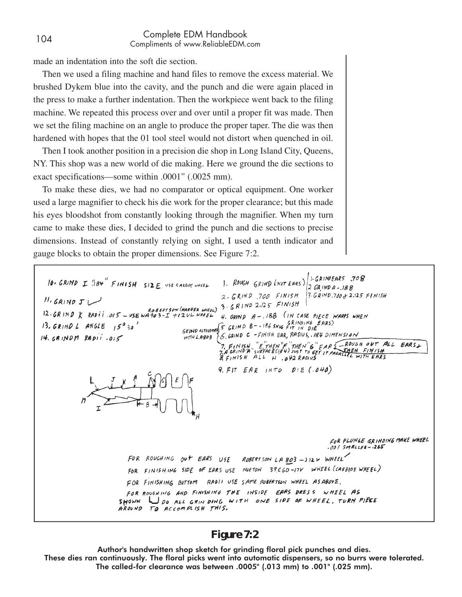#### <sup>104</sup> Complete EDM Handbook Compliments of www.ReliableEDM.com

made an indentation into the soft die section.

Then we used a filing machine and hand files to remove the excess material. We brushed Dykem blue into the cavity, and the punch and die were again placed in the press to make a further indentation. Then the workpiece went back to the filing machine. We repeated this process over and over until a proper fit was made. Then we set the filing machine on an angle to produce the proper taper. The die was then hardened with hopes that the 01 tool steel would not distort when quenched in oil.

Then I took another position in a precision die shop in Long Island City, Queens, NY. This shop was a new world of die making. Here we ground the die sections to exact specifications—some within .0001" (.0025 mm).

To make these dies, we had no comparator or optical equipment. One worker used a large magnifier to check his die work for the proper clearance; but this made his eyes bloodshot from constantly looking through the magnifier. When my turn came to make these dies, I decided to grind the punch and die sections to precise dimensions. Instead of constantly relying on sight, I used a tenth indicator and gauge blocks to obtain the proper dimensions. See Figure 7:2.

1. ROUGH GRIND (NOT EARS) SAINDEARS .708 10. GRIND I "184" FINISH SIZE USE CARBIDE WHEEL  $2.$  GRIND 700 FINISH 3. GRIND. 700 & 2.125 FINISH  $11.$  GRIND  $J$ *1.* GRIND J<br>Robertson (HARPER WHEEL) 3. GRIND 2.125 FINISH<br>12. GRIND X RADII. 015 - USE WA903-I +12VL WHEEL 4. GRIND A-188 (IN CA 4. GRIND  $A - 188$  (IN CASE PIECE WARPS WHEN GRIND ALTOLETING  $S$  GRIND B - 186 SNU6 GRINDING EARS) 13. GRIND L ANGLE  $15^0$  30' GRIND ALTOCEMES C. CAIND C -FINISH EAR, RADIUS, 184 DIMENSION  $14.$  GRINDM RADII.015 7. FINISH, "E"THEN"E"THEN"6" EAR 5 ROUGH OUT ALL EARS.<br>7. A GRIND A "SURFACE(184) JUST TO GET IT PARAILLEL WITH EARS. 9. FIT EAR INTO DIE (.040) FOR PLUNGE GRINDING MAKE WHEEL  $.001$  SMALLER- $.265$ FOR ROUGHING OUT EARS USE ROBERTSON LA 803 - JIZV WHEEL FOR FINISHING SIDE OF EARS USE NORTON 39C60-17V WHEEL (CARBIDE WHEEL) FOR FINISHING BOTTOM RADII USE SAME ROBERTSON WHEEL AS ABOVE. FOR ROUGHING AND FINISHING THE INSIDE EARS DRESS WHEEL AS SHOWN JDO ALL GRIN DING WITH ONE SIDE OF WHEEL, TURN PIECE AROUND TO ACCOMPLISH THIS.

#### **Figure 7:2**

Author's handwritten shop sketch for grinding floral pick punches and dies. These dies ran continuously. The floral picks went into automatic dispensers, so no burrs were tolerated. The called-for clearance was between .0005" (.013 mm) to .001" (.025 mm).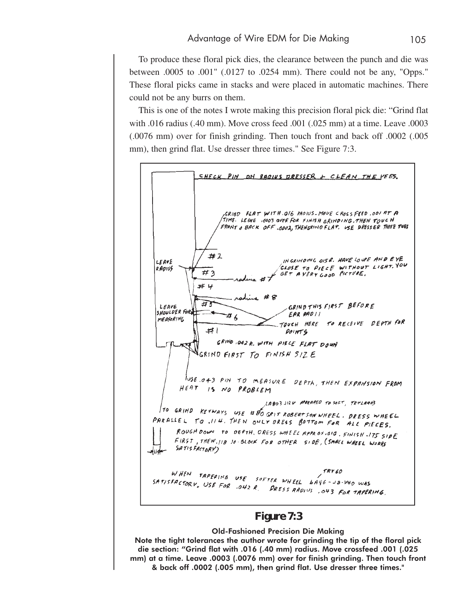To produce these floral pick dies, the clearance between the punch and die was between .0005 to .001" (.0127 to .0254 mm). There could not be any, "Opps." These floral picks came in stacks and were placed in automatic machines. There could not be any burrs on them.

This is one of the notes I wrote making this precision floral pick die: "Grind flat with .016 radius (.40 mm). Move cross feed .001 (.025 mm) at a time. Leave .0003 (.0076 mm) over for finish grinding. Then touch front and back off .0002 (.005 mm), then grind flat. Use dresser three times." See Figure 7:3.



Note the tight tolerances the author wrote for grinding the tip of the floral pick die section: "Grind flat with .016 (.40 mm) radius. Move crossfeed .001 (.025 mm) at a time. Leave .0003 (.0076 mm) over for finish grinding. Then touch front & back off .0002 (.005 mm), then grind flat. Use dresser three times."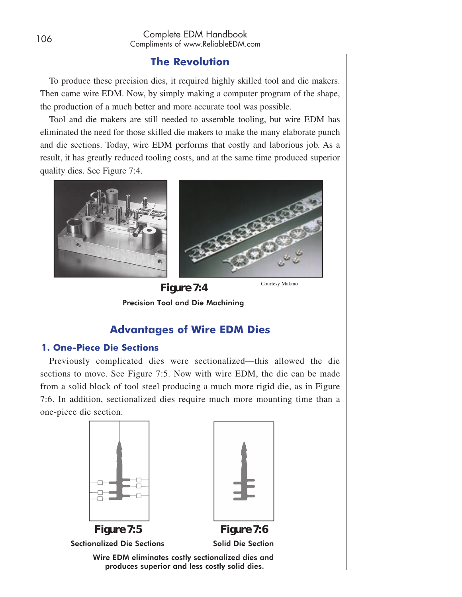#### **The Revolution**

To produce these precision dies, it required highly skilled tool and die makers. Then came wire EDM. Now, by simply making a computer program of the shape, the production of a much better and more accurate tool was possible.

Tool and die makers are still needed to assemble tooling, but wire EDM has eliminated the need for those skilled die makers to make the many elaborate punch and die sections. Today, wire EDM performs that costly and laborious job. As a result, it has greatly reduced tooling costs, and at the same time produced superior quality dies. See Figure 7:4.





#### **Advantages of Wire EDM Dies**

#### **1. One-Piece Die Sections**

Previously complicated dies were sectionalized—this allowed the die sections to move. See Figure 7:5. Now with wire EDM, the die can be made from a solid block of tool steel producing a much more rigid die, as in Figure 7:6. In addition, sectionalized dies require much more mounting time than a one-piece die section.



**Figure 7:5**  Sectionalized Die Sections



Solid Die Section

Wire EDM eliminates costly sectionalized dies and produces superior and less costly solid dies.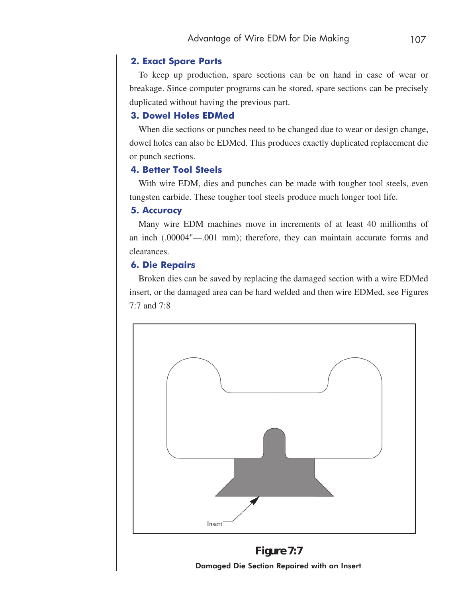#### **2. Exact Spare Parts**

To keep up production, spare sections can be on hand in case of wear or breakage. Since computer programs can be stored, spare sections can be precisely duplicated without having the previous part.

#### **3. Dowel Holes EDMed**

When die sections or punches need to be changed due to wear or design change, dowel holes can also be EDMed. This produces exactly duplicated replacement die or punch sections.

#### **4. Better Tool Steels**

With wire EDM, dies and punches can be made with tougher tool steels, even tungsten carbide. These tougher tool steels produce much longer tool life.

#### **5. Accuracy**

Many wire EDM machines move in increments of at least 40 millionths of an inch (.00004"—.001 mm); therefore, they can maintain accurate forms and clearances.

#### **6. Die Repairs**

Broken dies can be saved by replacing the damaged section with a wire EDMed insert, or the damaged area can be hard welded and then wire EDMed, see Figures 7:7 and 7:8



**Figure 7:7** Damaged Die Section Repaired with an Insert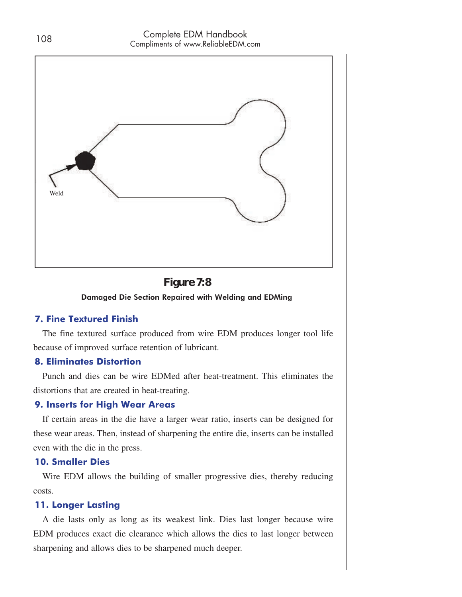

#### **Figure 7:8**

Damaged Die Section Repaired with Welding and EDMing

#### **7. Fine Textured Finish**

The fine textured surface produced from wire EDM produces longer tool life because of improved surface retention of lubricant.

#### **8. Eliminates Distortion**

Punch and dies can be wire EDMed after heat-treatment. This eliminates the distortions that are created in heat-treating.

#### **9. Inserts for High Wear Areas**

If certain areas in the die have a larger wear ratio, inserts can be designed for these wear areas. Then, instead of sharpening the entire die, inserts can be installed even with the die in the press.

#### **10. Smaller Dies**

Wire EDM allows the building of smaller progressive dies, thereby reducing costs.

#### **11. Longer Lasting**

A die lasts only as long as its weakest link. Dies last longer because wire EDM produces exact die clearance which allows the dies to last longer between sharpening and allows dies to be sharpened much deeper.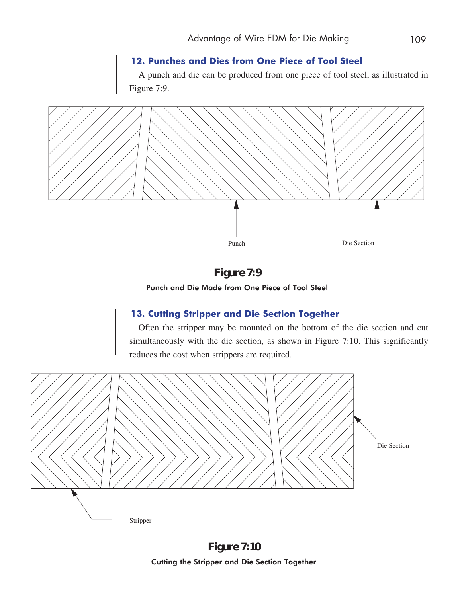#### **12. Punches and Dies from One Piece of Tool Steel**

A punch and die can be produced from one piece of tool steel, as illustrated in Figure 7:9.



#### **Figure 7:9**

Punch and Die Made from One Piece of Tool Steel

#### **13. Cutting Stripper and Die Section Together**

Often the stripper may be mounted on the bottom of the die section and cut simultaneously with the die section, as shown in Figure 7:10. This significantly reduces the cost when strippers are required.



**Figure 7:10** Cutting the Stripper and Die Section Together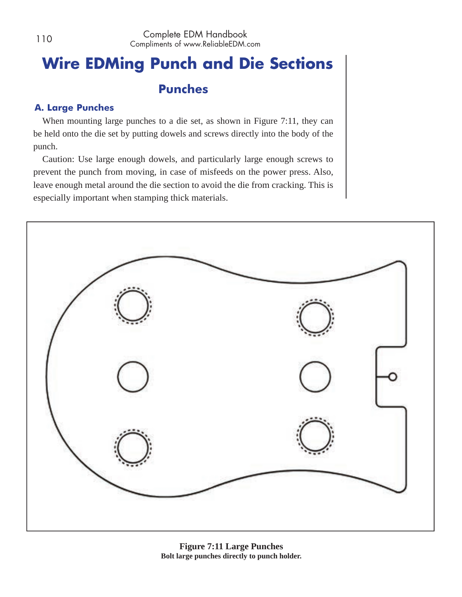## **Wire EDMing Punch and Die Sections**

#### **Punches**

#### **A. Large Punches**

When mounting large punches to a die set, as shown in Figure 7:11, they can be held onto the die set by putting dowels and screws directly into the body of the punch.

Caution: Use large enough dowels, and particularly large enough screws to prevent the punch from moving, in case of misfeeds on the power press. Also, leave enough metal around the die section to avoid the die from cracking. This is especially important when stamping thick materials.

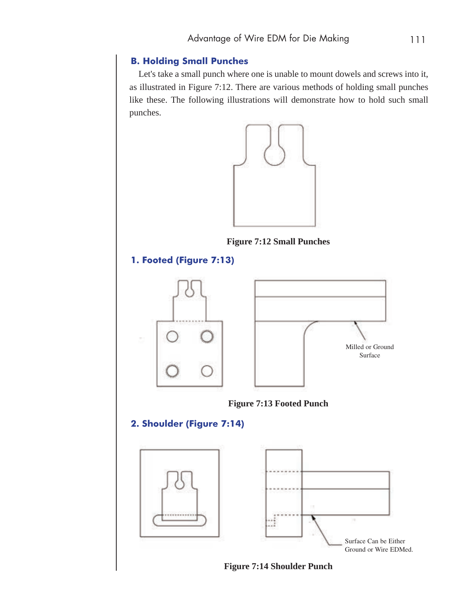#### **B. Holding Small Punches**

Let's take a small punch where one is unable to mount dowels and screws into it, as illustrated in Figure 7:12. There are various methods of holding small punches like these. The following illustrations will demonstrate how to hold such small punches.



**Figure 7:12 Small Punches**

#### **1. Footed (Figure 7:13)**







#### **2. Shoulder (Figure 7:14)**



**Figure 7:14 Shoulder Punch**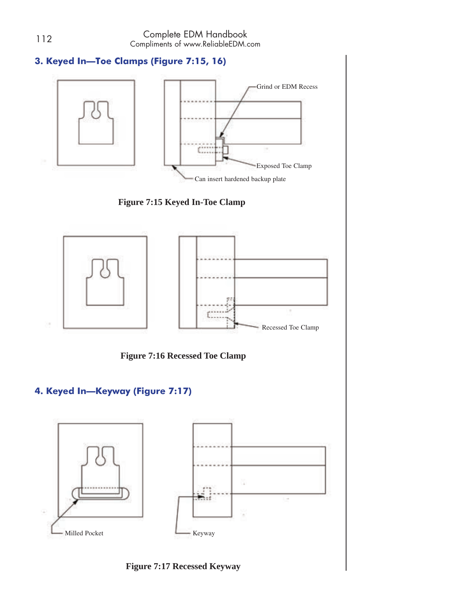#### **3. Keyed In—Toe Clamps (Figure 7:15, 16)**









**Figure 7:16 Recessed Toe Clamp**

#### **4. Keyed In—Keyway (Figure 7:17)**



**Figure 7:17 Recessed Keyway**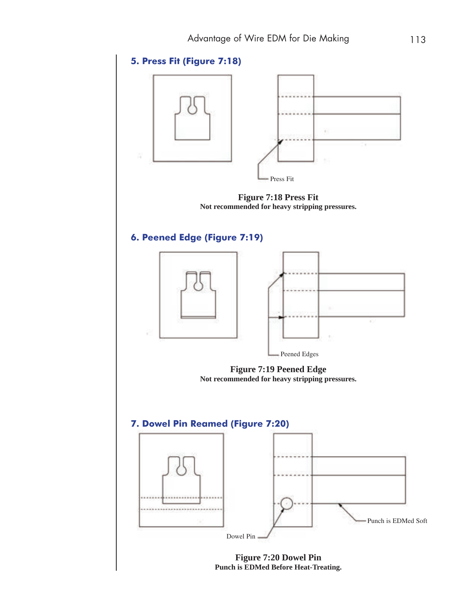

**Punch is EDMed Before Heat-Treating.**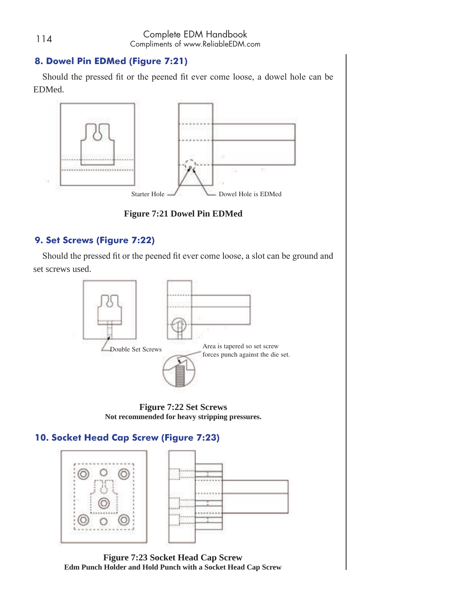#### **8. Dowel Pin EDMed (Figure 7:21)**

Should the pressed fit or the peened fit ever come loose, a dowel hole can be EDMed.



**Figure 7:21 Dowel Pin EDMed**

#### **9. Set Screws (Figure 7:22)**

Should the pressed fit or the peened fit ever come loose, a slot can be ground and set screws used.



**Figure 7:22 Set Screws Not recommended for heavy stripping pressures.**

#### **10. Socket Head Cap Screw (Figure 7:23)**



**Figure 7:23 Socket Head Cap Screw Edm Punch Holder and Hold Punch with a Socket Head Cap Screw**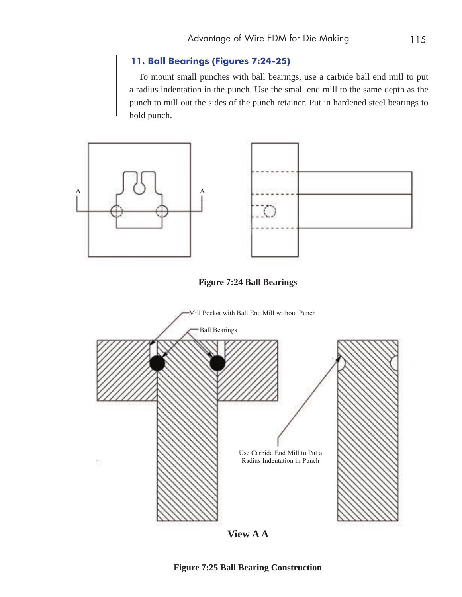#### **11. Ball Bearings (Figures 7:24-25)**

To mount small punches with ball bearings, use a carbide ball end mill to put a radius indentation in the punch. Use the small end mill to the same depth as the punch to mill out the sides of the punch retainer. Put in hardened steel bearings to hold punch.



**View A A**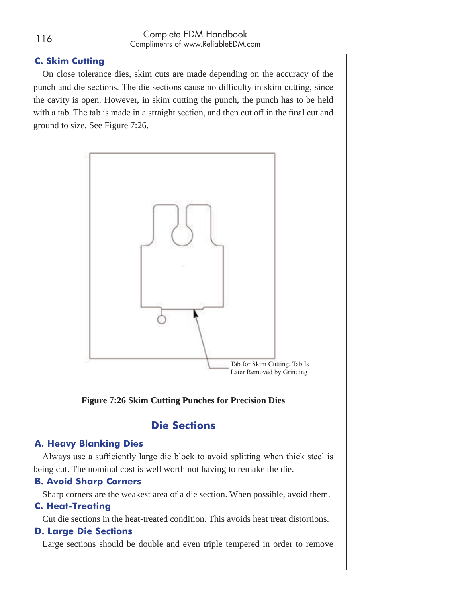#### **C. Skim Cutting**

On close tolerance dies, skim cuts are made depending on the accuracy of the punch and die sections. The die sections cause no difficulty in skim cutting, since the cavity is open. However, in skim cutting the punch, the punch has to be held with a tab. The tab is made in a straight section, and then cut off in the final cut and ground to size. See Figure 7:26.



#### **Figure 7:26 Skim Cutting Punches for Precision Dies**

#### **Die Sections**

#### **A. Heavy Blanking Dies**

Always use a sufficiently large die block to avoid splitting when thick steel is being cut. The nominal cost is well worth not having to remake the die.

#### **B. Avoid Sharp Corners**

Sharp corners are the weakest area of a die section. When possible, avoid them.

#### **C. Heat-Treating**

Cut die sections in the heat-treated condition. This avoids heat treat distortions.

#### **D. Large Die Sections**

Large sections should be double and even triple tempered in order to remove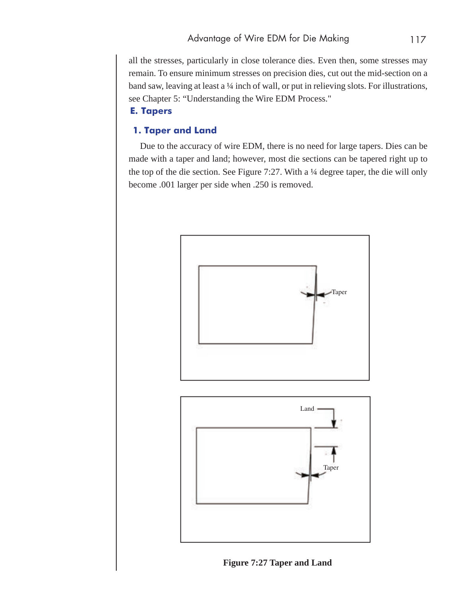all the stresses, particularly in close tolerance dies. Even then, some stresses may remain. To ensure minimum stresses on precision dies, cut out the mid-section on a band saw, leaving at least a 1/4 inch of wall, or put in relieving slots. For illustrations, see Chapter 5: "Understanding the Wire EDM Process."

#### **E. Tapers**

#### **1. Taper and Land**

 Due to the accuracy of wire EDM, there is no need for large tapers. Dies can be made with a taper and land; however, most die sections can be tapered right up to the top of the die section. See Figure 7:27. With a 1/4 degree taper, the die will only become .001 larger per side when .250 is removed.





**Figure 7:27 Taper and Land**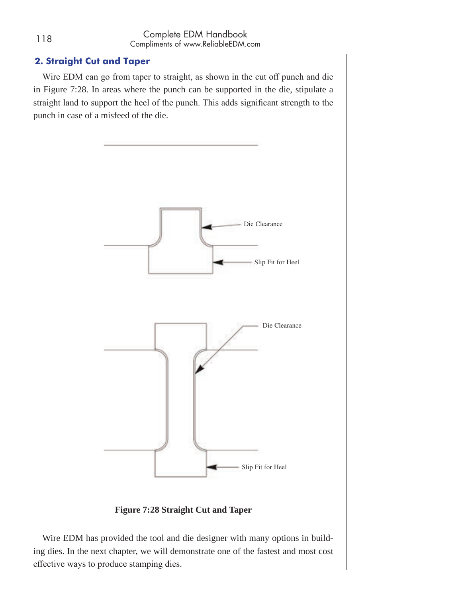#### **2. Straight Cut and Taper**

Wire EDM can go from taper to straight, as shown in the cut off punch and die in Figure 7:28. In areas where the punch can be supported in the die, stipulate a straight land to support the heel of the punch. This adds significant strength to the punch in case of a misfeed of the die.



**Figure 7:28 Straight Cut and Taper**

Wire EDM has provided the tool and die designer with many options in building dies. In the next chapter, we will demonstrate one of the fastest and most cost effective ways to produce stamping dies.